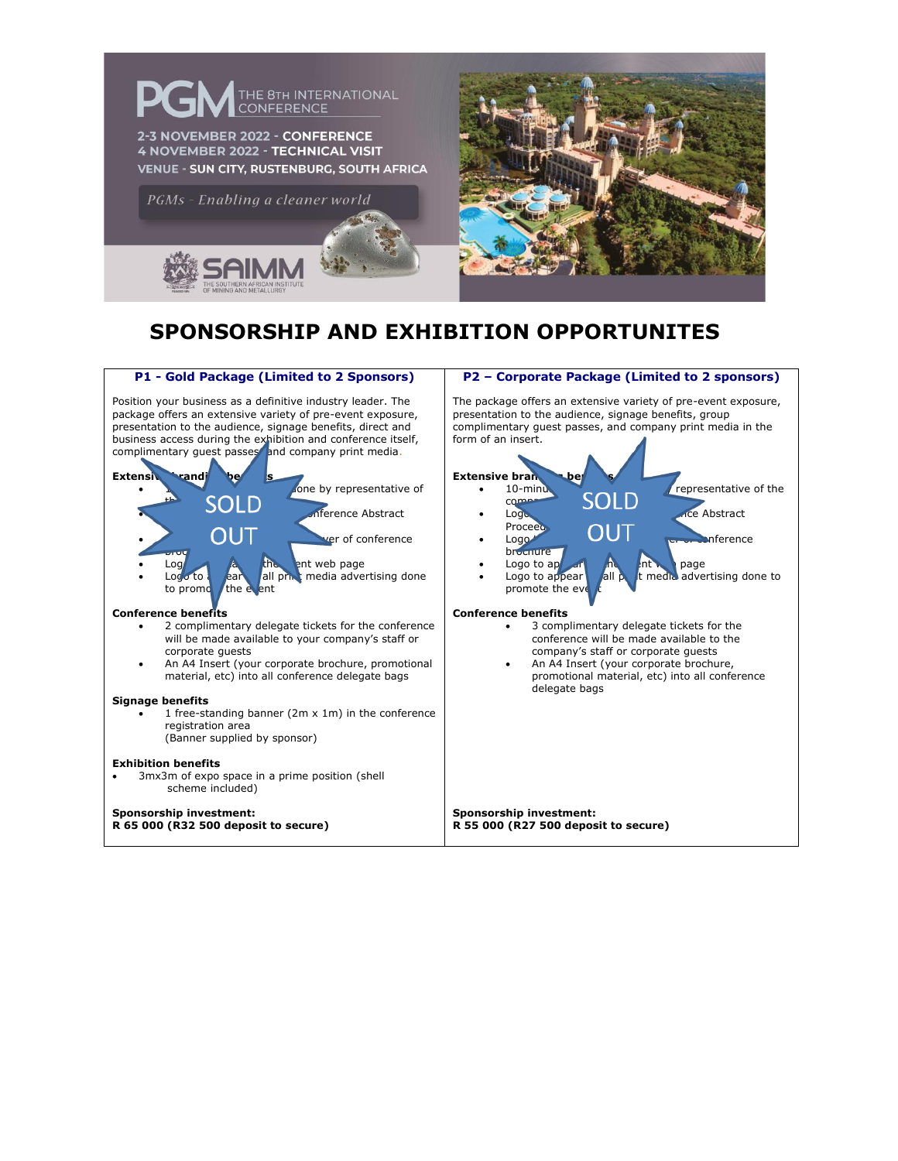

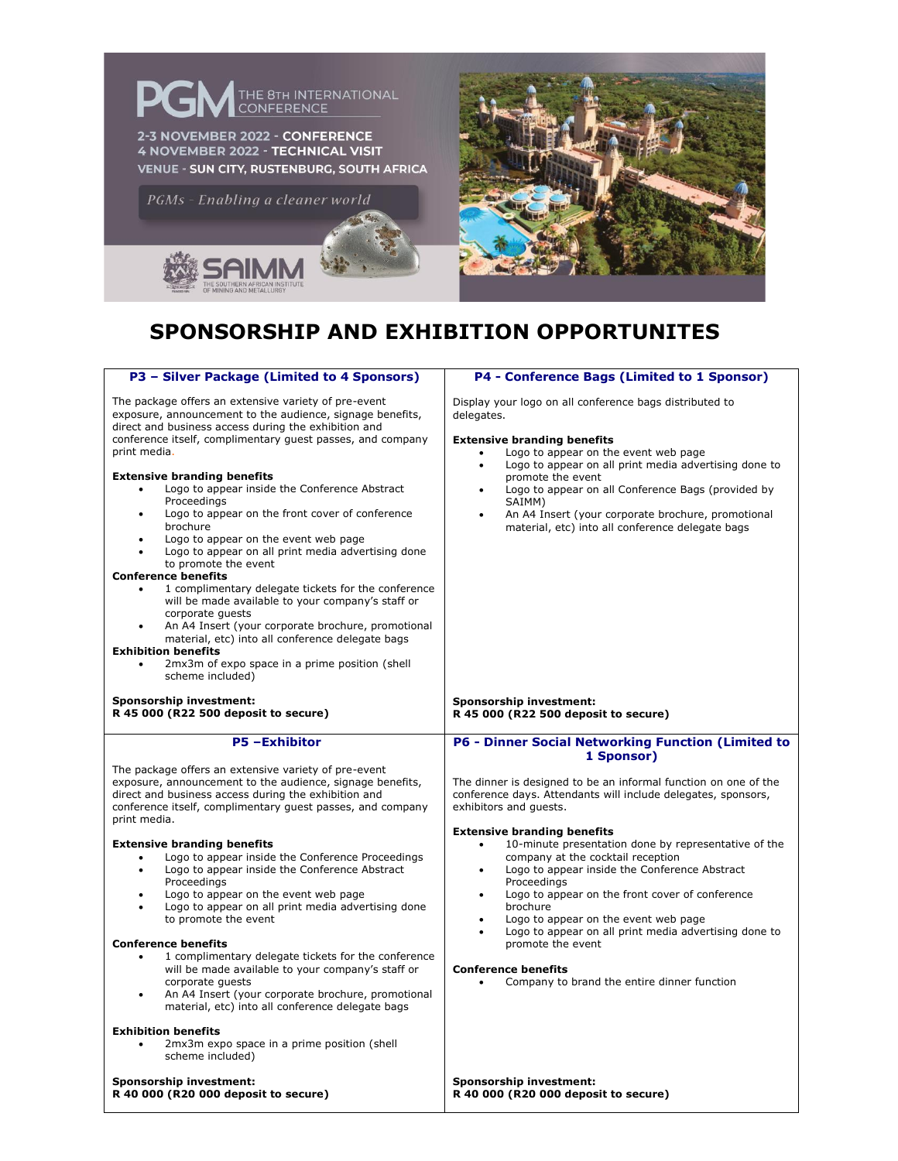

| P3 - Silver Package (Limited to 4 Sponsors)                                                                                                                                                                                                                                                                                                                                                                                                                                                                                                                                                                                                                                                                                                                                                                                                                                                                                                                           | P4 - Conference Bags (Limited to 1 Sponsor)                                                                                                                                                                                                                                                                                                                                                                                                                                                                                |
|-----------------------------------------------------------------------------------------------------------------------------------------------------------------------------------------------------------------------------------------------------------------------------------------------------------------------------------------------------------------------------------------------------------------------------------------------------------------------------------------------------------------------------------------------------------------------------------------------------------------------------------------------------------------------------------------------------------------------------------------------------------------------------------------------------------------------------------------------------------------------------------------------------------------------------------------------------------------------|----------------------------------------------------------------------------------------------------------------------------------------------------------------------------------------------------------------------------------------------------------------------------------------------------------------------------------------------------------------------------------------------------------------------------------------------------------------------------------------------------------------------------|
| The package offers an extensive variety of pre-event<br>exposure, announcement to the audience, signage benefits,<br>direct and business access during the exhibition and<br>conference itself, complimentary guest passes, and company<br>print media.<br><b>Extensive branding benefits</b><br>Logo to appear inside the Conference Abstract<br>$\bullet$<br>Proceedings<br>Logo to appear on the front cover of conference<br>brochure<br>Logo to appear on the event web page<br>Logo to appear on all print media advertising done<br>to promote the event<br><b>Conference benefits</b><br>1 complimentary delegate tickets for the conference<br>$\bullet$<br>will be made available to your company's staff or<br>corporate guests<br>An A4 Insert (your corporate brochure, promotional<br>material, etc) into all conference delegate bags<br><b>Exhibition benefits</b><br>2mx3m of expo space in a prime position (shell<br>$\bullet$<br>scheme included) | Display your logo on all conference bags distributed to<br>delegates.<br><b>Extensive branding benefits</b><br>Logo to appear on the event web page<br>Logo to appear on all print media advertising done to<br>promote the event<br>Logo to appear on all Conference Bags (provided by<br>$\bullet$<br>SAIMM)<br>An A4 Insert (your corporate brochure, promotional<br>$\bullet$<br>material, etc) into all conference delegate bags                                                                                      |
| Sponsorship investment:<br>R 45 000 (R22 500 deposit to secure)                                                                                                                                                                                                                                                                                                                                                                                                                                                                                                                                                                                                                                                                                                                                                                                                                                                                                                       | Sponsorship investment:<br>R 45 000 (R22 500 deposit to secure)                                                                                                                                                                                                                                                                                                                                                                                                                                                            |
| <b>P5-Exhibitor</b>                                                                                                                                                                                                                                                                                                                                                                                                                                                                                                                                                                                                                                                                                                                                                                                                                                                                                                                                                   |                                                                                                                                                                                                                                                                                                                                                                                                                                                                                                                            |
| The package offers an extensive variety of pre-event<br>exposure, announcement to the audience, signage benefits,<br>direct and business access during the exhibition and<br>conference itself, complimentary quest passes, and company<br>print media.                                                                                                                                                                                                                                                                                                                                                                                                                                                                                                                                                                                                                                                                                                               | <b>P6 - Dinner Social Networking Function (Limited to</b><br>1 Sponsor)<br>The dinner is designed to be an informal function on one of the<br>conference days. Attendants will include delegates, sponsors,<br>exhibitors and guests.                                                                                                                                                                                                                                                                                      |
| <b>Extensive branding benefits</b><br>Logo to appear inside the Conference Proceedings<br>$\bullet$<br>Logo to appear inside the Conference Abstract<br>Proceedings<br>Logo to appear on the event web page<br>$\bullet$<br>Logo to appear on all print media advertising done<br>to promote the event<br><b>Conference benefits</b><br>1 complimentary delegate tickets for the conference<br>$\bullet$<br>will be made available to your company's staff or<br>corporate quests<br>An A4 Insert (your corporate brochure, promotional<br>material, etc) into all conference delegate bags<br><b>Exhibition benefits</b><br>2mx3m expo space in a prime position (shell<br>scheme included)                                                                                                                                                                                                                                                                          | <b>Extensive branding benefits</b><br>10-minute presentation done by representative of the<br>$\bullet$<br>company at the cocktail reception<br>Logo to appear inside the Conference Abstract<br>$\bullet$<br>Proceedings<br>Logo to appear on the front cover of conference<br>$\bullet$<br>brochure<br>Logo to appear on the event web page<br>$\bullet$<br>Logo to appear on all print media advertising done to<br>promote the event<br><b>Conference benefits</b><br>Company to brand the entire dinner function<br>٠ |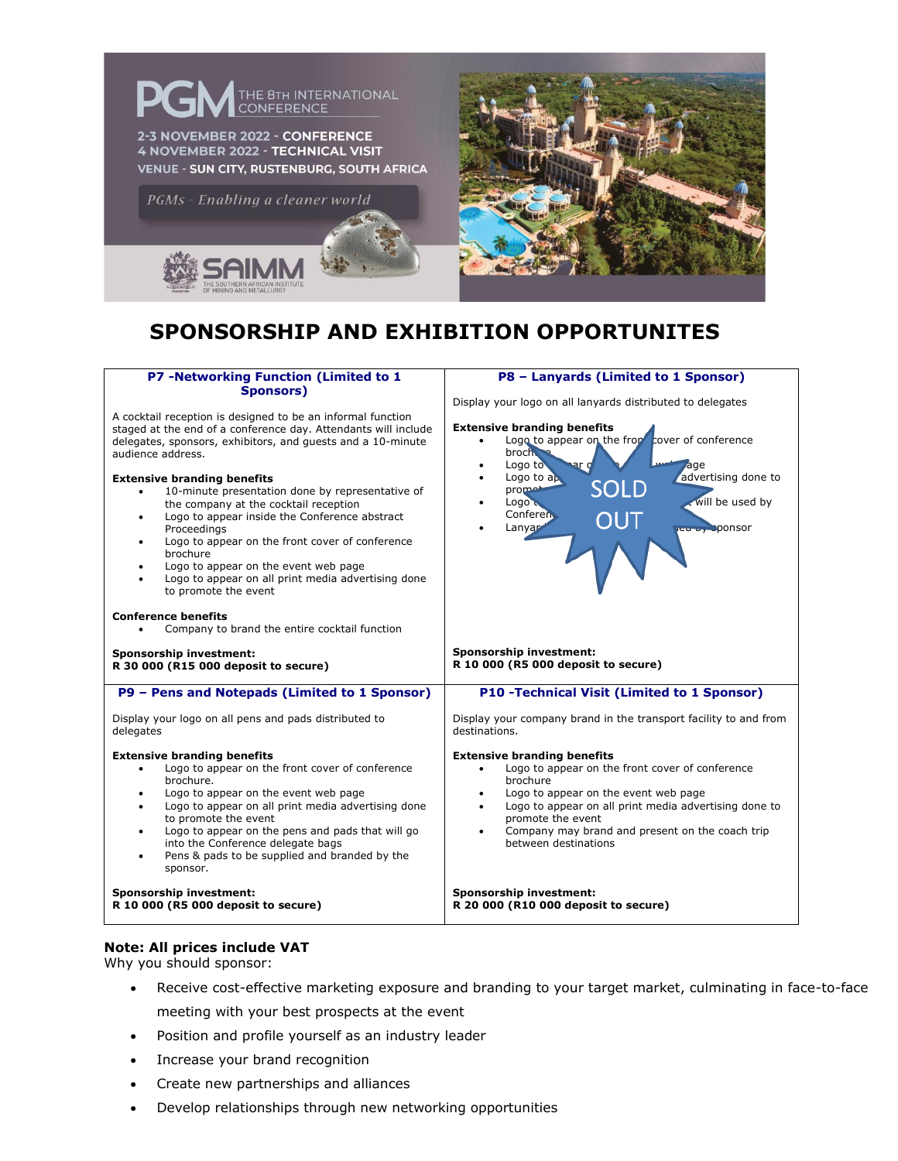

| <b>P7 -Networking Function (Limited to 1</b>                                                                                                                                                                                                                                                                                                                                                                                                                                                                                                                                                                                                                                                                 | P8 - Lanyards (Limited to 1 Sponsor)                                                                                                                                                                                                                                                                                                                     |
|--------------------------------------------------------------------------------------------------------------------------------------------------------------------------------------------------------------------------------------------------------------------------------------------------------------------------------------------------------------------------------------------------------------------------------------------------------------------------------------------------------------------------------------------------------------------------------------------------------------------------------------------------------------------------------------------------------------|----------------------------------------------------------------------------------------------------------------------------------------------------------------------------------------------------------------------------------------------------------------------------------------------------------------------------------------------------------|
| <b>Sponsors)</b><br>A cocktail reception is designed to be an informal function<br>staged at the end of a conference day. Attendants will include<br>delegates, sponsors, exhibitors, and guests and a 10-minute<br>audience address.<br><b>Extensive branding benefits</b><br>10-minute presentation done by representative of<br>٠<br>the company at the cocktail reception<br>Logo to appear inside the Conference abstract<br>$\bullet$<br>Proceedings<br>Logo to appear on the front cover of conference<br>٠<br>brochure<br>Logo to appear on the event web page<br>$\bullet$<br>Logo to appear on all print media advertising done<br>$\bullet$<br>to promote the event<br><b>Conference benefits</b> | Display your logo on all lanyards distributed to delegates<br><b>Extensive branding benefits</b><br>Logo to appear on the from cover of conference<br>broch.<br>Logo to<br><u>nar</u> d<br>Jage<br>advertising done to<br>Logo to $a$ $\mathbf{p}$<br>SOLD<br>promet<br>will be used by<br>Logo u<br>Conferen.<br>OUT<br>Lanyar<br><b>JEW By Sponsor</b> |
| Company to brand the entire cocktail function<br>$\bullet$                                                                                                                                                                                                                                                                                                                                                                                                                                                                                                                                                                                                                                                   |                                                                                                                                                                                                                                                                                                                                                          |
| Sponsorship investment:<br>R 30 000 (R15 000 deposit to secure)                                                                                                                                                                                                                                                                                                                                                                                                                                                                                                                                                                                                                                              | Sponsorship investment:<br>R 10 000 (R5 000 deposit to secure)                                                                                                                                                                                                                                                                                           |
| P9 - Pens and Notepads (Limited to 1 Sponsor)                                                                                                                                                                                                                                                                                                                                                                                                                                                                                                                                                                                                                                                                | <b>P10 -Technical Visit (Limited to 1 Sponsor)</b>                                                                                                                                                                                                                                                                                                       |
| Display your logo on all pens and pads distributed to<br>delegates                                                                                                                                                                                                                                                                                                                                                                                                                                                                                                                                                                                                                                           | Display your company brand in the transport facility to and from<br>destinations.                                                                                                                                                                                                                                                                        |
| <b>Extensive branding benefits</b><br>Logo to appear on the front cover of conference<br>brochure.<br>Logo to appear on the event web page<br>٠<br>Logo to appear on all print media advertising done<br>٠<br>to promote the event<br>Logo to appear on the pens and pads that will go<br>٠<br>into the Conference delegate bags<br>Pens & pads to be supplied and branded by the<br>$\bullet$<br>sponsor.                                                                                                                                                                                                                                                                                                   | <b>Extensive branding benefits</b><br>Logo to appear on the front cover of conference<br>brochure<br>Logo to appear on the event web page<br>٠<br>Logo to appear on all print media advertising done to<br>$\bullet$<br>promote the event<br>Company may brand and present on the coach trip<br>٠<br>between destinations                                |
| Sponsorship investment:<br>R 10 000 (R5 000 deposit to secure)                                                                                                                                                                                                                                                                                                                                                                                                                                                                                                                                                                                                                                               | Sponsorship investment:<br>R 20 000 (R10 000 deposit to secure)                                                                                                                                                                                                                                                                                          |

#### **Note: All prices include VAT**

Why you should sponsor:

- Receive cost-effective marketing exposure and branding to your target market, culminating in face-to-face meeting with your best prospects at the event
- Position and profile yourself as an industry leader
- Increase your brand recognition
- Create new partnerships and alliances
- Develop relationships through new networking opportunities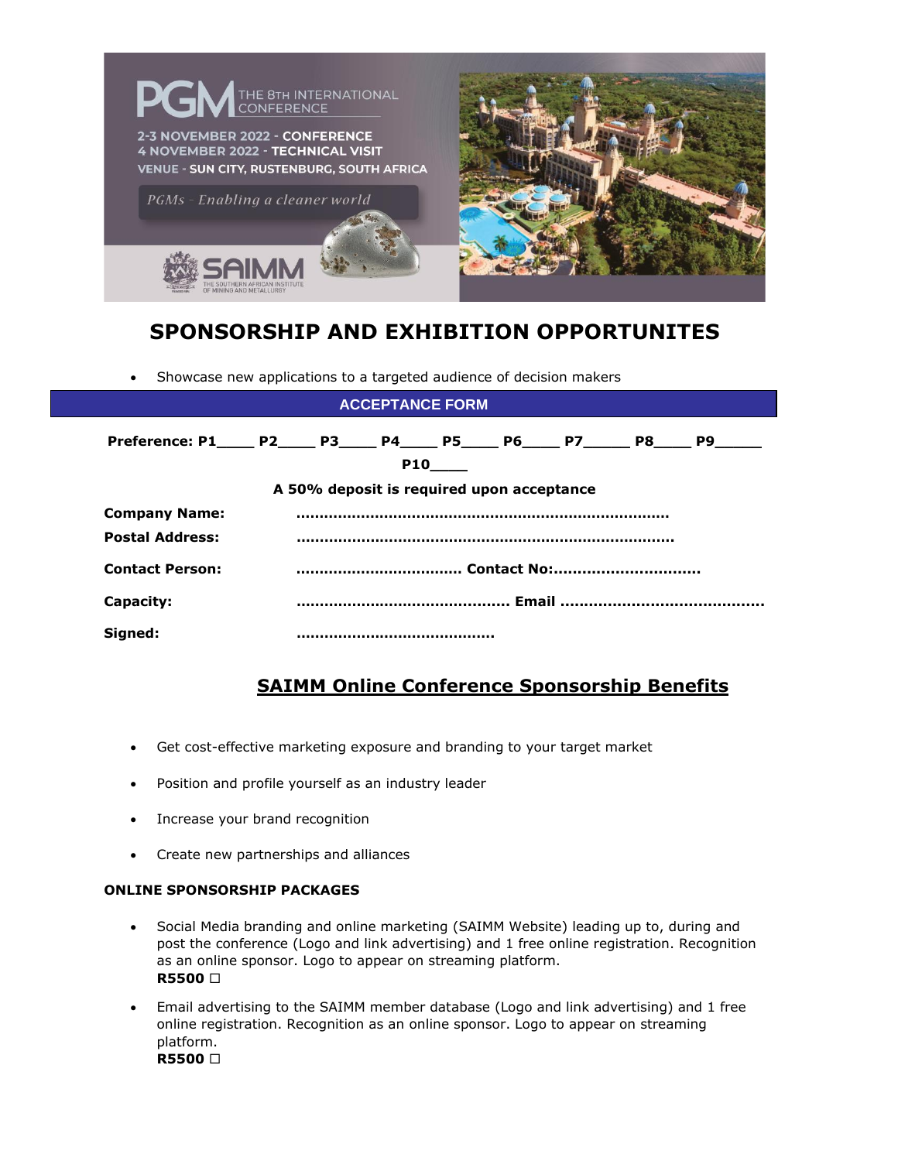

• Showcase new applications to a targeted audience of decision makers

| <b>ACCEPTANCE FORM</b>                                                                |  |  |                                           |            |  |  |  |
|---------------------------------------------------------------------------------------|--|--|-------------------------------------------|------------|--|--|--|
| Preference: P1_____ P2_____ P3_____ P4_____ P5_____ P6_____ P7______ P8_____ P9______ |  |  |                                           |            |  |  |  |
|                                                                                       |  |  |                                           | <b>P10</b> |  |  |  |
|                                                                                       |  |  | A 50% deposit is required upon acceptance |            |  |  |  |
| <b>Company Name:</b>                                                                  |  |  |                                           |            |  |  |  |
| <b>Postal Address:</b>                                                                |  |  |                                           |            |  |  |  |
| <b>Contact Person:</b>                                                                |  |  |                                           |            |  |  |  |
| Capacity:                                                                             |  |  |                                           |            |  |  |  |
| Signed:                                                                               |  |  |                                           |            |  |  |  |

### **SAIMM Online Conference Sponsorship Benefits**

- Get cost-effective marketing exposure and branding to your target market
- Position and profile yourself as an industry leader
- Increase your brand recognition
- Create new partnerships and alliances

#### **ONLINE SPONSORSHIP PACKAGES**

- Social Media branding and online marketing (SAIMM Website) leading up to, during and post the conference (Logo and link advertising) and 1 free online registration. Recognition as an online sponsor. Logo to appear on streaming platform. **R5500**
- Email advertising to the SAIMM member database (Logo and link advertising) and 1 free online registration. Recognition as an online sponsor. Logo to appear on streaming platform. **R5500**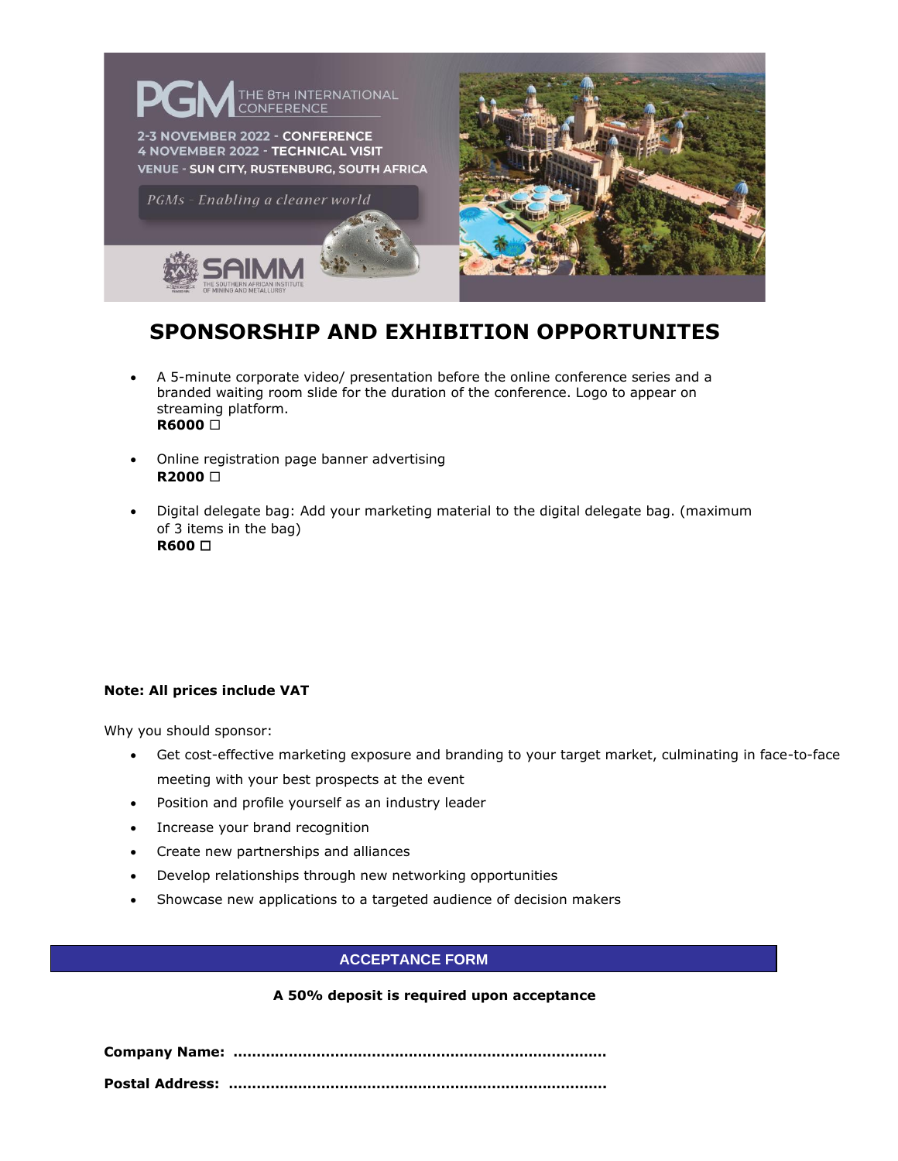

- A 5-minute corporate video/ presentation before the online conference series and a branded waiting room slide for the duration of the conference. Logo to appear on streaming platform. **R6000**
- Online registration page banner advertising **R2000**
- Digital delegate bag: Add your marketing material to the digital delegate bag. (maximum of 3 items in the bag) **R600**

### **Note: All prices include VAT**

Why you should sponsor:

- Get cost-effective marketing exposure and branding to your target market, culminating in face-to-face meeting with your best prospects at the event
- Position and profile yourself as an industry leader
- Increase your brand recognition
- Create new partnerships and alliances
- Develop relationships through new networking opportunities
- Showcase new applications to a targeted audience of decision makers

### **ACCEPTANCE FORM**

### **A 50% deposit is required upon acceptance**

**Company Name: ………………………………………………………………………** 

**Postal Address: ……………………………………………………………………….**